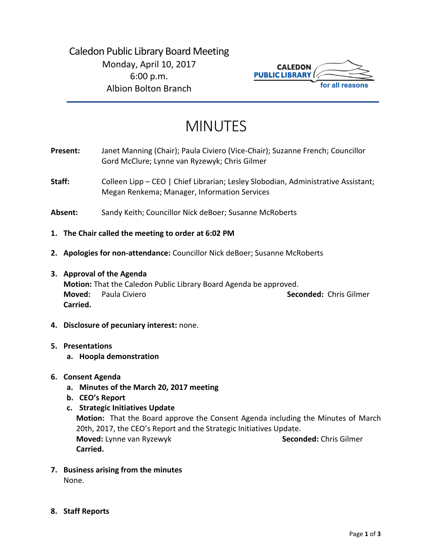

# MINUTES

- **Present:** Janet Manning (Chair); Paula Civiero (Vice-Chair); Suzanne French; Councillor Gord McClure; Lynne van Ryzewyk; Chris Gilmer
- Staff: Colleen Lipp CEO | Chief Librarian; Lesley Slobodian, Administrative Assistant; Megan Renkema; Manager, Information Services
- **Absent:** Sandy Keith; Councillor Nick deBoer; Susanne McRoberts
- **1. The Chair called the meeting to order at 6:02 PM**
- **2. Apologies for non-attendance:** Councillor Nick deBoer; Susanne McRoberts
- **3. Approval of the Agenda Motion:** That the Caledon Public Library Board Agenda be approved. **Moved:** Paula Civiero **Seconded:** Chris Gilmer **Carried.**
- **4. Disclosure of pecuniary interest:** none.

# **5. Presentations**

- **a. Hoopla demonstration**
- **6. Consent Agenda**
	- **a. Minutes of the March 20, 2017 meeting**
	- **b. CEO's Report**
	- **c. Strategic Initiatives Update Motion:** That the Board approve the Consent Agenda including the Minutes of March 20th, 2017, the CEO's Report and the Strategic Initiatives Update. **Moved:** Lynne van Ryzewyk **Seconded:** Chris Gilmer **Carried.**
- **7. Business arising from the minutes**  None.
- **8. Staff Reports**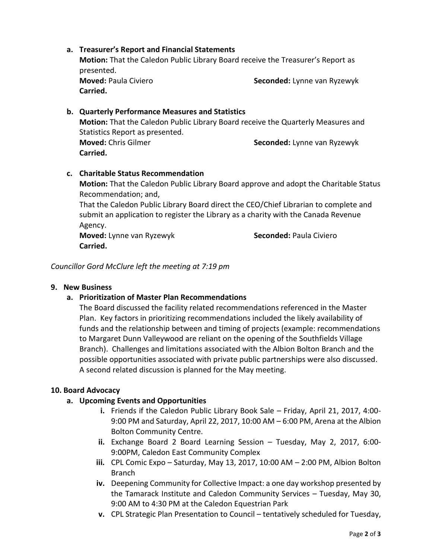# presented. **Moved:** Paula Civiero **Seconded:** Lynne van Ryzewyk **Carried. b. Quarterly Performance Measures and Statistics Motion:** That the Caledon Public Library Board receive the Quarterly Measures and Statistics Report as presented. **Moved:** Chris Gilmer **Seconded:** Lynne van Ryzewyk **Carried. c. Charitable Status Recommendation Motion:** That the Caledon Public Library Board approve and adopt the Charitable Status Recommendation; and, That the Caledon Public Library Board direct the CEO/Chief Librarian to complete and submit an application to register the Library as a charity with the Canada Revenue

**Motion:** That the Caledon Public Library Board receive the Treasurer's Report as

Agency.

**Moved:** Lynne van Ryzewyk **Seconded:** Paula Civiero **Carried.**

*Councillor Gord McClure left the meeting at 7:19 pm*

**a. Treasurer's Report and Financial Statements** 

# **9. New Business**

# **a. Prioritization of Master Plan Recommendations**

The Board discussed the facility related recommendations referenced in the Master Plan. Key factors in prioritizing recommendations included the likely availability of funds and the relationship between and timing of projects (example: recommendations to Margaret Dunn Valleywood are reliant on the opening of the Southfields Village Branch). Challenges and limitations associated with the Albion Bolton Branch and the possible opportunities associated with private public partnerships were also discussed. A second related discussion is planned for the May meeting.

#### **10. Board Advocacy**

# **a. Upcoming Events and Opportunities**

- **i.** Friends if the Caledon Public Library Book Sale Friday, April 21, 2017, 4:00- 9:00 PM and Saturday, April 22, 2017, 10:00 AM – 6:00 PM, Arena at the Albion Bolton Community Centre.
- **ii.** Exchange Board 2 Board Learning Session Tuesday, May 2, 2017, 6:00- 9:00PM, Caledon East Community Complex
- **iii.** CPL Comic Expo Saturday, May 13, 2017, 10:00 AM 2:00 PM, Albion Bolton Branch
- **iv.** Deepening Community for Collective Impact: a one day workshop presented by the Tamarack Institute and Caledon Community Services – Tuesday, May 30, 9:00 AM to 4:30 PM at the Caledon Equestrian Park
- **v.** CPL Strategic Plan Presentation to Council tentatively scheduled for Tuesday,